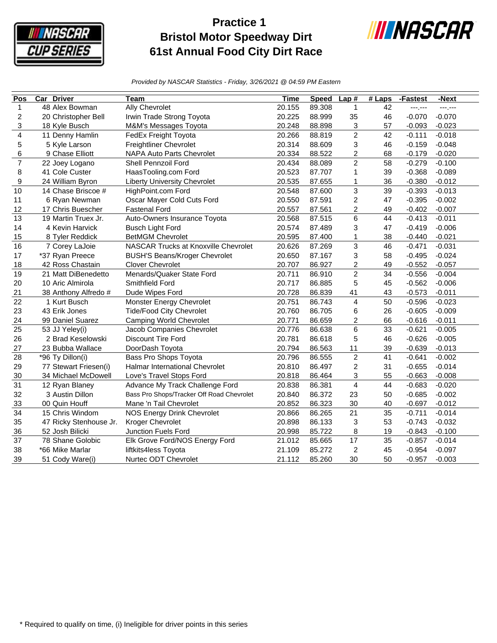

## **Practice 1 Bristol Motor Speedway Dirt 61st Annual Food City Dirt Race**



*Provided by NASCAR Statistics - Friday, 3/26/2021 @ 04:59 PM Eastern*

| Pos                     | <b>Car Driver</b>      | Team                                      | Time   | <b>Speed</b> | Lap#                    | $#$ Laps | -Fastest | -Next    |
|-------------------------|------------------------|-------------------------------------------|--------|--------------|-------------------------|----------|----------|----------|
| $\mathbf{1}$            | 48 Alex Bowman         | Ally Chevrolet                            | 20.155 | 89.308       | $\mathbf{1}$            | 42       | ---.---  | ---,---  |
| $\overline{c}$          | 20 Christopher Bell    | Irwin Trade Strong Toyota                 | 20.225 | 88.999       | 35                      | 46       | $-0.070$ | $-0.070$ |
| 3                       | 18 Kyle Busch          | M&M's Messages Toyota                     | 20.248 | 88.898       | 3                       | 57       | $-0.093$ | $-0.023$ |
| $\overline{\mathbf{4}}$ | 11 Denny Hamlin        | FedEx Freight Toyota                      | 20.266 | 88.819       | $\overline{2}$          | 42       | $-0.111$ | $-0.018$ |
| 5                       | 5 Kyle Larson          | <b>Freightliner Chevrolet</b>             | 20.314 | 88.609       | 3                       | 46       | $-0.159$ | $-0.048$ |
| 6                       | 9 Chase Elliott        | <b>NAPA Auto Parts Chevrolet</b>          | 20.334 | 88.522       | $\overline{c}$          | 68       | $-0.179$ | $-0.020$ |
| $\overline{7}$          | 22 Joey Logano         | <b>Shell Pennzoil Ford</b>                | 20.434 | 88.089       | $\overline{2}$          | 58       | $-0.279$ | $-0.100$ |
| 8                       | 41 Cole Custer         | HaasTooling.com Ford                      | 20.523 | 87.707       | $\mathbf{1}$            | 39       | $-0.368$ | $-0.089$ |
| 9                       | 24 William Byron       | <b>Liberty University Chevrolet</b>       | 20.535 | 87.655       | $\mathbf 1$             | 36       | $-0.380$ | $-0.012$ |
| 10                      | 14 Chase Briscoe #     | HighPoint.com Ford                        | 20.548 | 87.600       | 3                       | 39       | $-0.393$ | $-0.013$ |
| 11                      | 6 Ryan Newman          | Oscar Mayer Cold Cuts Ford                | 20.550 | 87.591       | $\overline{c}$          | 47       | $-0.395$ | $-0.002$ |
| 12                      | 17 Chris Buescher      | <b>Fastenal Ford</b>                      | 20.557 | 87.561       | 2                       | 49       | $-0.402$ | $-0.007$ |
| 13                      | 19 Martin Truex Jr.    | Auto-Owners Insurance Toyota              | 20.568 | 87.515       | 6                       | 44       | $-0.413$ | $-0.011$ |
| 14                      | 4 Kevin Harvick        | <b>Busch Light Ford</b>                   | 20.574 | 87.489       | 3                       | 47       | $-0.419$ | $-0.006$ |
| 15                      | 8 Tyler Reddick        | <b>BetMGM Chevrolet</b>                   | 20.595 | 87.400       | $\mathbf{1}$            | 38       | $-0.440$ | $-0.021$ |
| 16                      | 7 Corey LaJoie         | NASCAR Trucks at Knoxville Chevrolet      | 20.626 | 87.269       | 3                       | 46       | $-0.471$ | $-0.031$ |
| 17                      | *37 Ryan Preece        | <b>BUSH'S Beans/Kroger Chevrolet</b>      | 20.650 | 87.167       | 3                       | 58       | $-0.495$ | $-0.024$ |
| 18                      | 42 Ross Chastain       | <b>Clover Chevrolet</b>                   | 20.707 | 86.927       | $\overline{c}$          | 49       | $-0.552$ | $-0.057$ |
| 19                      | 21 Matt DiBenedetto    | Menards/Quaker State Ford                 | 20.711 | 86.910       | $\overline{2}$          | 34       | $-0.556$ | $-0.004$ |
| 20                      | 10 Aric Almirola       | Smithfield Ford                           | 20.717 | 86.885       | 5                       | 45       | $-0.562$ | $-0.006$ |
| 21                      | 38 Anthony Alfredo #   | Dude Wipes Ford                           | 20.728 | 86.839       | 41                      | 43       | $-0.573$ | $-0.011$ |
| 22                      | 1 Kurt Busch           | Monster Energy Chevrolet                  | 20.751 | 86.743       | $\overline{\mathbf{4}}$ | 50       | $-0.596$ | $-0.023$ |
| 23                      | 43 Erik Jones          | <b>Tide/Food City Chevrolet</b>           | 20.760 | 86.705       | 6                       | 26       | $-0.605$ | $-0.009$ |
| 24                      | 99 Daniel Suarez       | <b>Camping World Chevrolet</b>            | 20.771 | 86.659       | $\overline{c}$          | 66       | $-0.616$ | $-0.011$ |
| 25                      | 53 JJ Yeley(i)         | Jacob Companies Chevrolet                 | 20.776 | 86.638       | 6                       | 33       | $-0.621$ | $-0.005$ |
| 26                      | 2 Brad Keselowski      | <b>Discount Tire Ford</b>                 | 20.781 | 86.618       | 5                       | 46       | $-0.626$ | $-0.005$ |
| 27                      | 23 Bubba Wallace       | DoorDash Toyota                           | 20.794 | 86.563       | 11                      | 39       | $-0.639$ | $-0.013$ |
| 28                      | *96 Ty Dillon(i)       | Bass Pro Shops Toyota                     | 20.796 | 86.555       | $\boldsymbol{2}$        | 41       | $-0.641$ | $-0.002$ |
| 29                      | 77 Stewart Friesen(i)  | <b>Halmar International Chevrolet</b>     | 20.810 | 86.497       | $\boldsymbol{2}$        | 31       | $-0.655$ | $-0.014$ |
| 30                      | 34 Michael McDowell    | Love's Travel Stops Ford                  | 20.818 | 86.464       | 3                       | 55       | $-0.663$ | $-0.008$ |
| 31                      | 12 Ryan Blaney         | Advance My Track Challenge Ford           | 20.838 | 86.381       | 4                       | 44       | $-0.683$ | $-0.020$ |
| 32                      | 3 Austin Dillon        | Bass Pro Shops/Tracker Off Road Chevrolet | 20.840 | 86.372       | 23                      | 50       | $-0.685$ | $-0.002$ |
| 33                      | 00 Quin Houff          | Mane 'n Tail Chevrolet                    | 20.852 | 86.323       | 30                      | 40       | $-0.697$ | $-0.012$ |
| 34                      | 15 Chris Windom        | NOS Energy Drink Chevrolet                | 20.866 | 86.265       | 21                      | 35       | $-0.711$ | $-0.014$ |
| 35                      | 47 Ricky Stenhouse Jr. | <b>Kroger Chevrolet</b>                   | 20.898 | 86.133       | 3                       | 53       | $-0.743$ | $-0.032$ |
| 36                      | 52 Josh Bilicki        | Junction Fuels Ford                       | 20.998 | 85.722       | 8                       | 19       | $-0.843$ | $-0.100$ |
| 37                      | 78 Shane Golobic       | Elk Grove Ford/NOS Energy Ford            | 21.012 | 85.665       | 17                      | 35       | $-0.857$ | $-0.014$ |
| 38                      | *66 Mike Marlar        | liftkits4less Toyota                      | 21.109 | 85.272       | $\overline{c}$          | 45       | $-0.954$ | $-0.097$ |
| 39                      | 51 Cody Ware(i)        | Nurtec ODT Chevrolet                      | 21.112 | 85.260       | 30                      | 50       | $-0.957$ | $-0.003$ |